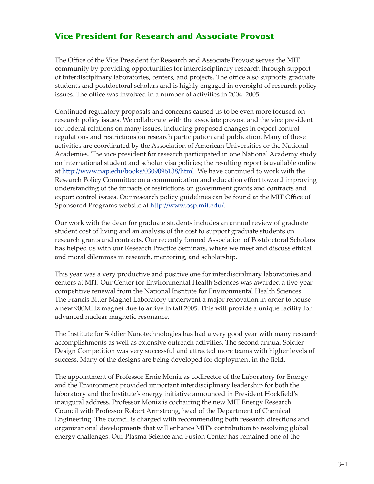## **Vice President for Research and Associate Provost**

The Office of the Vice President for Research and Associate Provost serves the MIT community by providing opportunities for interdisciplinary research through support of interdisciplinary laboratories, centers, and projects. The office also supports graduate students and postdoctoral scholars and is highly engaged in oversight of research policy issues. The office was involved in a number of activities in 2004–2005.

Continued regulatory proposals and concerns caused us to be even more focused on research policy issues. We collaborate with the associate provost and the vice president for federal relations on many issues, including proposed changes in export control regulations and restrictions on research participation and publication. Many of these activities are coordinated by the Association of American Universities or the National Academies. The vice president for research participated in one National Academy study on international student and scholar visa policies; the resulting report is available online at [h�p://www.nap.edu/books/0309096138/html.](http://www.nap.edu/books/0309096138/html) We have continued to work with the Research Policy Commi�ee on a communication and education effort toward improving understanding of the impacts of restrictions on government grants and contracts and export control issues. Our research policy guidelines can be found at the MIT Office of Sponsored Programs website at [h�p://www.osp.mit.edu/.](http://www.osp.mit.edu/)

Our work with the dean for graduate students includes an annual review of graduate student cost of living and an analysis of the cost to support graduate students on research grants and contracts. Our recently formed Association of Postdoctoral Scholars has helped us with our Research Practice Seminars, where we meet and discuss ethical and moral dilemmas in research, mentoring, and scholarship.

This year was a very productive and positive one for interdisciplinary laboratories and centers at MIT. Our Center for Environmental Health Sciences was awarded a five-year competitive renewal from the National Institute for Environmental Health Sciences. The Francis Bitter Magnet Laboratory underwent a major renovation in order to house a new 900MHz magnet due to arrive in fall 2005. This will provide a unique facility for advanced nuclear magnetic resonance.

The Institute for Soldier Nanotechnologies has had a very good year with many research accomplishments as well as extensive outreach activities. The second annual Soldier Design Competition was very successful and a�racted more teams with higher levels of success. Many of the designs are being developed for deployment in the field.

The appointment of Professor Ernie Moniz as codirector of the Laboratory for Energy and the Environment provided important interdisciplinary leadership for both the laboratory and the Institute's energy initiative announced in President Hockfield's inaugural address. Professor Moniz is cochairing the new MIT Energy Research Council with Professor Robert Armstrong, head of the Department of Chemical Engineering. The council is charged with recommending both research directions and organizational developments that will enhance MIT's contribution to resolving global energy challenges. Our Plasma Science and Fusion Center has remained one of the